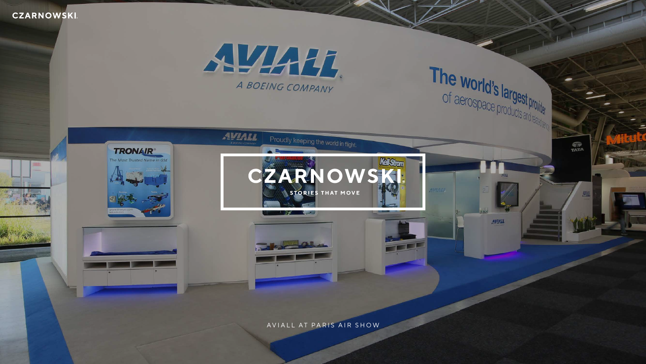## **CZARNOWSKI**



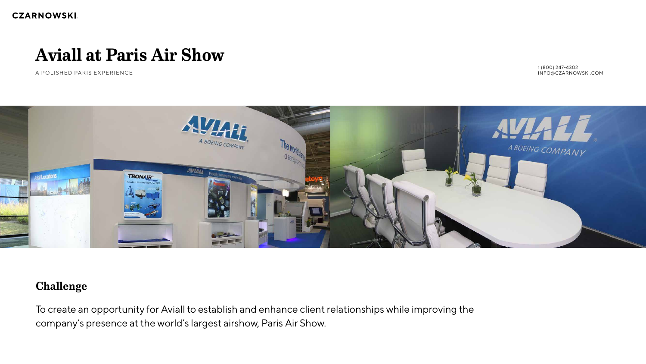# **Challenge**

To create an opportunity for Aviall to establish and enhance client relationships while improving the company's presence at the world's largest airshow, Paris Air Show.

### **CZARNOWSKI.**

# **Aviall at Paris Air Show**

A POLISHED PARIS EXPERIENCE



1 (800) 247-4302 INFO@CZARNOWSKI.COM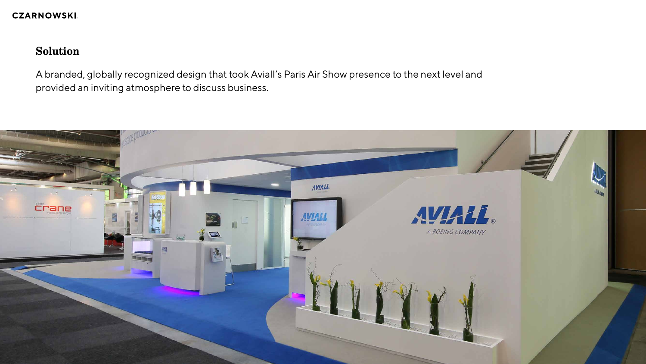**CZARNOWSKI.** 

# **Solution**

A branded, globally recognized design that took Aviall's Paris Air Show presence to the next level and provided an inviting atmosphere to discuss business.

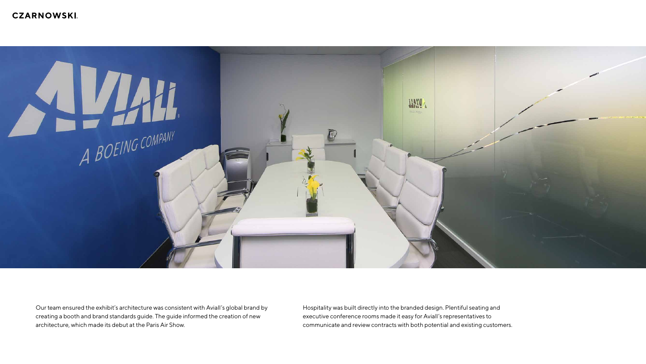# **CZARNOWSKI.**



Our team ensured the exhibit's architecture was consistent with Aviall's global brand by creating a booth and brand standards guide. The guide informed the creation of new architecture, which made its debut at the Paris Air Show.

Hospitality was built directly into the branded design. Plentiful seating and executive conference rooms made it easy for Aviall's representatives to communicate and review contracts with both potential and existing customers.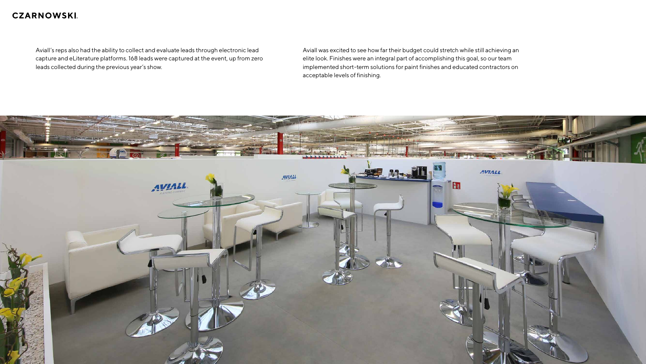### **CZARNOWSKI**.

Aviall's reps also had the ability to collect and evaluate leads through electronic lead capture and eLiterature platforms. 168 leads were captured at the event, up from zero leads collected during the previous year's show.



Aviall was excited to see how far their budget could stretch while still achieving an elite look. Finishes were an integral part of accomplishing this goal, so our team implemented short-term solutions for paint finishes and educated contractors on acceptable levels of finishing.